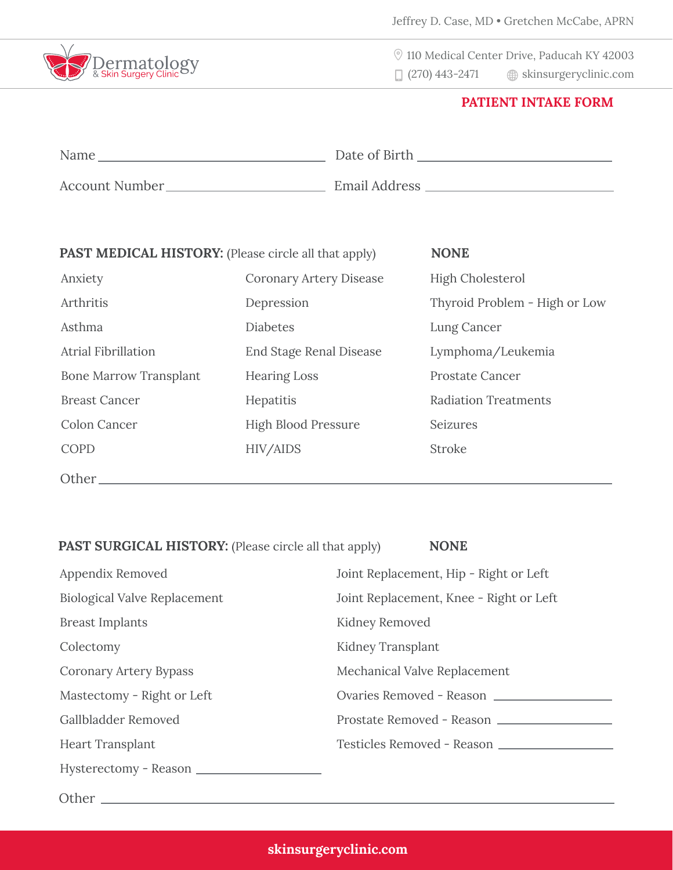

110 Medical Center Drive, Paducah KY 42003

 $\Box$  (270) 443-2471  $\quad \circledast$  skinsurgeryclinic.com

## **PATIENT INTAKE FORM**

| Name           | Date of Birth |
|----------------|---------------|
| Account Number | Email Address |

| <b>PAST MEDICAL HISTORY:</b> (Please circle all that apply) |                                | <b>NONE</b>                   |
|-------------------------------------------------------------|--------------------------------|-------------------------------|
| Anxiety                                                     | <b>Coronary Artery Disease</b> | <b>High Cholesterol</b>       |
| Arthritis                                                   | Depression                     | Thyroid Problem - High or Low |
| Asthma                                                      | <b>Diabetes</b>                | Lung Cancer                   |
| <b>Atrial Fibrillation</b>                                  | <b>End Stage Renal Disease</b> | Lymphoma/Leukemia             |
| <b>Bone Marrow Transplant</b>                               | <b>Hearing Loss</b>            | <b>Prostate Cancer</b>        |
| <b>Breast Cancer</b>                                        | Hepatitis                      | <b>Radiation Treatments</b>   |
| <b>Colon Cancer</b>                                         | <b>High Blood Pressure</b>     | Seizures                      |
| COPD                                                        | HIV/AIDS                       | <b>Stroke</b>                 |
| Other                                                       |                                |                               |

## **PAST SURGICAL HISTORY:** (Please circle all that apply) **NONE**

| Appendix Removed                    | Joint Replacement, Hip - Right or Left  |
|-------------------------------------|-----------------------------------------|
| <b>Biological Valve Replacement</b> | Joint Replacement, Knee - Right or Left |
| <b>Breast Implants</b>              | Kidney Removed                          |
| Colectomy                           | Kidney Transplant                       |
| Coronary Artery Bypass              | Mechanical Valve Replacement            |
| Mastectomy - Right or Left          | Ovaries Removed - Reason                |
| Gallbladder Removed                 | Prostate Removed - Reason               |
| <b>Heart Transplant</b>             | Testicles Removed - Reason              |
| Hysterectomy - Reason               |                                         |
|                                     |                                         |

Other<sub>\_</sub>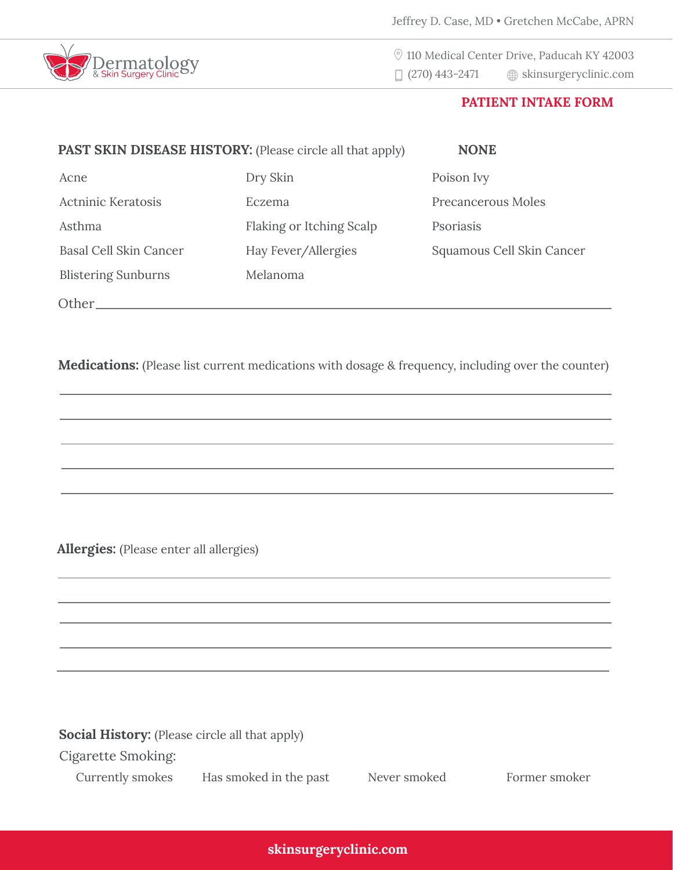

 110 Medical Center Drive, Paducah KY 42003  $\Box$  (270) 443-2471  $\quad \circledR$  skinsurgeryclinic.com

## **PATIENT INTAKE FORM**

| <b>PAST SKIN DISEASE HISTORY:</b> (Please circle all that apply) |                          | <b>NONE</b>               |
|------------------------------------------------------------------|--------------------------|---------------------------|
| Acne                                                             | Dry Skin                 | Poison Ivy                |
| <b>Actninic Keratosis</b>                                        | Eczema                   | Precancerous Moles        |
| Asthma                                                           | Flaking or Itching Scalp | Psoriasis                 |
| Basal Cell Skin Cancer                                           | Hay Fever/Allergies      | Squamous Cell Skin Cancer |
| <b>Blistering Sunburns</b>                                       | Melanoma                 |                           |
| Other.                                                           |                          |                           |

**Medications:** (Please list current medications with dosage & frequency, including over the counter)

**Allergies:** (Please enter all allergies)

**Social History:** (Please circle all that apply)

Cigarette Smoking:

Currently smokes Has smoked in the past Never smoked Former smoker

**skinsurgeryclinic.com**